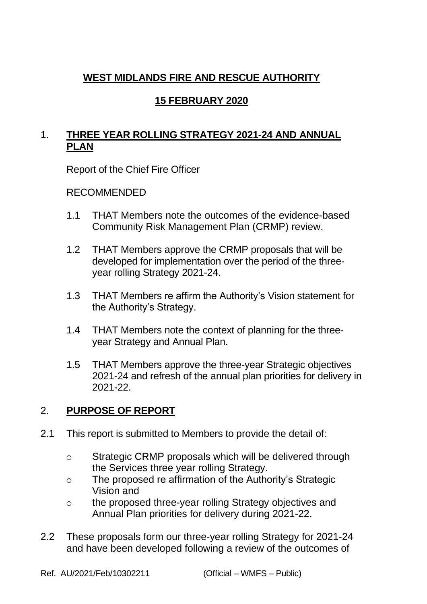## **WEST MIDLANDS FIRE AND RESCUE AUTHORITY**

# **15 FEBRUARY 2020**

# 1. **THREE YEAR ROLLING STRATEGY 2021-24 AND ANNUAL PLAN**

Report of the Chief Fire Officer

#### RECOMMENDED

- 1.1 THAT Members note the outcomes of the evidence-based Community Risk Management Plan (CRMP) review.
- 1.2 THAT Members approve the CRMP proposals that will be developed for implementation over the period of the threeyear rolling Strategy 2021-24.
- 1.3 THAT Members re affirm the Authority's Vision statement for the Authority's Strategy.
- 1.4 THAT Members note the context of planning for the threeyear Strategy and Annual Plan.
- 1.5 THAT Members approve the three-year Strategic objectives 2021-24 and refresh of the annual plan priorities for delivery in 2021-22.

### 2. **PURPOSE OF REPORT**

- 2.1 This report is submitted to Members to provide the detail of:
	- o Strategic CRMP proposals which will be delivered through the Services three year rolling Strategy.
	- o The proposed re affirmation of the Authority's Strategic Vision and
	- o the proposed three-year rolling Strategy objectives and Annual Plan priorities for delivery during 2021-22.
- 2.2 These proposals form our three-year rolling Strategy for 2021-24 and have been developed following a review of the outcomes of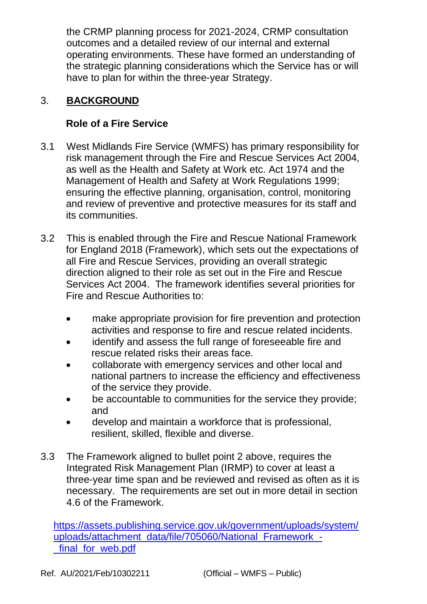the CRMP planning process for 2021-2024, CRMP consultation outcomes and a detailed review of our internal and external operating environments. These have formed an understanding of the strategic planning considerations which the Service has or will have to plan for within the three-year Strategy.

## 3. **BACKGROUND**

### **Role of a Fire Service**

- 3.1 West Midlands Fire Service (WMFS) has primary responsibility for risk management through the Fire and Rescue Services Act 2004, as well as the Health and Safety at Work etc. Act 1974 and the Management of Health and Safety at Work Regulations 1999; ensuring the effective planning, organisation, control, monitoring and review of preventive and protective measures for its staff and its communities.
- 3.2 This is enabled through the Fire and Rescue National Framework for England 2018 (Framework), which sets out the expectations of all Fire and Rescue Services, providing an overall strategic direction aligned to their role as set out in the Fire and Rescue Services Act 2004. The framework identifies several priorities for Fire and Rescue Authorities to:
	- make appropriate provision for fire prevention and protection activities and response to fire and rescue related incidents.
	- identify and assess the full range of foreseeable fire and rescue related risks their areas face.
	- collaborate with emergency services and other local and national partners to increase the efficiency and effectiveness of the service they provide.
	- be accountable to communities for the service they provide; and
	- develop and maintain a workforce that is professional, resilient, skilled, flexible and diverse.
- 3.3 The Framework aligned to bullet point 2 above, requires the Integrated Risk Management Plan (IRMP) to cover at least a three-year time span and be reviewed and revised as often as it is necessary. The requirements are set out in more detail in section 4.6 of the Framework.

[https://assets.publishing.service.gov.uk/government/uploads/system/](https://assets.publishing.service.gov.uk/government/uploads/system/uploads/attachment_data/file/705060/National_Framework_-_final_for_web.pdf) [uploads/attachment\\_data/file/705060/National\\_Framework\\_](https://assets.publishing.service.gov.uk/government/uploads/system/uploads/attachment_data/file/705060/National_Framework_-_final_for_web.pdf) final for web.pdf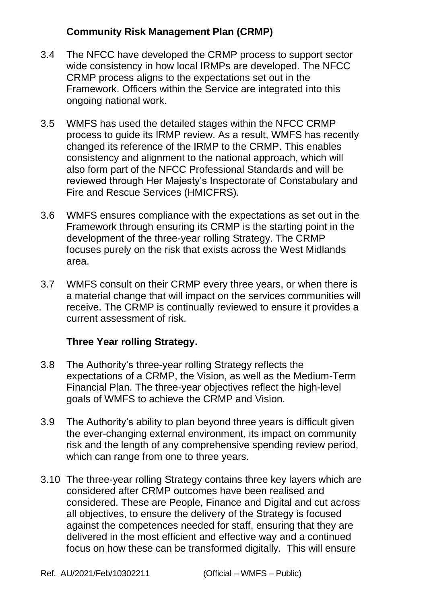#### **Community Risk Management Plan (CRMP)**

- 3.4 The NFCC have developed the CRMP process to support sector wide consistency in how local IRMPs are developed. The NFCC CRMP process aligns to the expectations set out in the Framework. Officers within the Service are integrated into this ongoing national work.
- 3.5 WMFS has used the detailed stages within the NFCC CRMP process to guide its IRMP review. As a result, WMFS has recently changed its reference of the IRMP to the CRMP. This enables consistency and alignment to the national approach, which will also form part of the NFCC Professional Standards and will be reviewed through Her Majesty's Inspectorate of Constabulary and Fire and Rescue Services (HMICFRS).
- 3.6 WMFS ensures compliance with the expectations as set out in the Framework through ensuring its CRMP is the starting point in the development of the three-year rolling Strategy. The CRMP focuses purely on the risk that exists across the West Midlands area.
- 3.7 WMFS consult on their CRMP every three years, or when there is a material change that will impact on the services communities will receive. The CRMP is continually reviewed to ensure it provides a current assessment of risk.

#### **Three Year rolling Strategy.**

- 3.8 The Authority's three-year rolling Strategy reflects the expectations of a CRMP, the Vision, as well as the Medium-Term Financial Plan. The three-year objectives reflect the high-level goals of WMFS to achieve the CRMP and Vision.
- 3.9 The Authority's ability to plan beyond three years is difficult given the ever-changing external environment, its impact on community risk and the length of any comprehensive spending review period, which can range from one to three years.
- 3.10 The three-year rolling Strategy contains three key layers which are considered after CRMP outcomes have been realised and considered. These are People, Finance and Digital and cut across all objectives, to ensure the delivery of the Strategy is focused against the competences needed for staff, ensuring that they are delivered in the most efficient and effective way and a continued focus on how these can be transformed digitally. This will ensure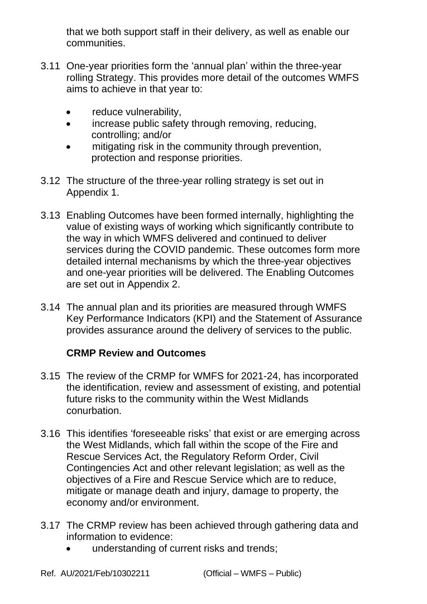that we both support staff in their delivery, as well as enable our communities.

- 3.11 One-year priorities form the 'annual plan' within the three-year rolling Strategy. This provides more detail of the outcomes WMFS aims to achieve in that year to:
	- reduce vulnerability,
	- increase public safety through removing, reducing, controlling; and/or
	- mitigating risk in the community through prevention, protection and response priorities.
- 3.12 The structure of the three-year rolling strategy is set out in Appendix 1.
- 3.13 Enabling Outcomes have been formed internally, highlighting the value of existing ways of working which significantly contribute to the way in which WMFS delivered and continued to deliver services during the COVID pandemic. These outcomes form more detailed internal mechanisms by which the three-year objectives and one-year priorities will be delivered. The Enabling Outcomes are set out in Appendix 2.
- 3.14 The annual plan and its priorities are measured through WMFS Key Performance Indicators (KPI) and the Statement of Assurance provides assurance around the delivery of services to the public.

### **CRMP Review and Outcomes**

- 3.15 The review of the CRMP for WMFS for 2021-24, has incorporated the identification, review and assessment of existing, and potential future risks to the community within the West Midlands conurbation.
- 3.16 This identifies 'foreseeable risks' that exist or are emerging across the West Midlands, which fall within the scope of the Fire and Rescue Services Act, the Regulatory Reform Order, Civil Contingencies Act and other relevant legislation; as well as the objectives of a Fire and Rescue Service which are to reduce, mitigate or manage death and injury, damage to property, the economy and/or environment.
- 3.17 The CRMP review has been achieved through gathering data and information to evidence:
	- understanding of current risks and trends;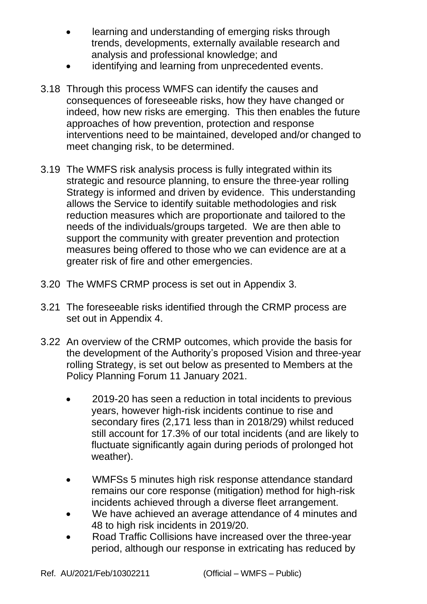- learning and understanding of emerging risks through trends, developments, externally available research and analysis and professional knowledge; and
- identifying and learning from unprecedented events.
- 3.18 Through this process WMFS can identify the causes and consequences of foreseeable risks, how they have changed or indeed, how new risks are emerging. This then enables the future approaches of how prevention, protection and response interventions need to be maintained, developed and/or changed to meet changing risk, to be determined.
- 3.19 The WMFS risk analysis process is fully integrated within its strategic and resource planning, to ensure the three-year rolling Strategy is informed and driven by evidence. This understanding allows the Service to identify suitable methodologies and risk reduction measures which are proportionate and tailored to the needs of the individuals/groups targeted. We are then able to support the community with greater prevention and protection measures being offered to those who we can evidence are at a greater risk of fire and other emergencies.
- 3.20 The WMFS CRMP process is set out in Appendix 3.
- 3.21 The foreseeable risks identified through the CRMP process are set out in Appendix 4.
- 3.22 An overview of the CRMP outcomes, which provide the basis for the development of the Authority's proposed Vision and three-year rolling Strategy, is set out below as presented to Members at the Policy Planning Forum 11 January 2021.
	- 2019-20 has seen a reduction in total incidents to previous years, however high-risk incidents continue to rise and secondary fires (2,171 less than in 2018/29) whilst reduced still account for 17.3% of our total incidents (and are likely to fluctuate significantly again during periods of prolonged hot weather).
	- WMFSs 5 minutes high risk response attendance standard remains our core response (mitigation) method for high-risk incidents achieved through a diverse fleet arrangement.
	- We have achieved an average attendance of 4 minutes and 48 to high risk incidents in 2019/20.
	- Road Traffic Collisions have increased over the three-year period, although our response in extricating has reduced by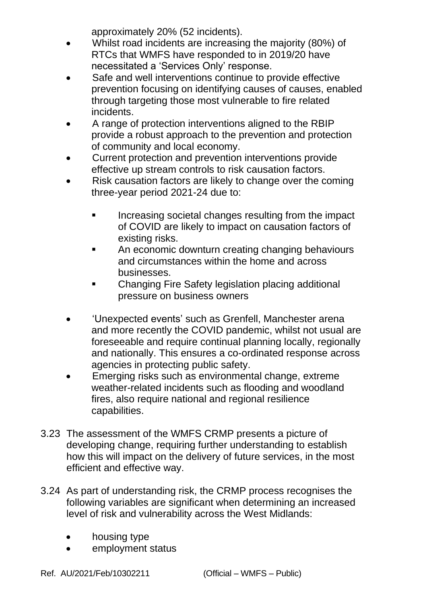approximately 20% (52 incidents).

- Whilst road incidents are increasing the majority (80%) of RTCs that WMFS have responded to in 2019/20 have necessitated a 'Services Only' response.
- Safe and well interventions continue to provide effective prevention focusing on identifying causes of causes, enabled through targeting those most vulnerable to fire related incidents.
- A range of protection interventions aligned to the RBIP provide a robust approach to the prevention and protection of community and local economy.
- Current protection and prevention interventions provide effective up stream controls to risk causation factors.
- Risk causation factors are likely to change over the coming three-year period 2021-24 due to:
	- Increasing societal changes resulting from the impact of COVID are likely to impact on causation factors of existing risks.
	- An economic downturn creating changing behaviours and circumstances within the home and across businesses.
	- Changing Fire Safety legislation placing additional pressure on business owners
- 'Unexpected events' such as Grenfell, Manchester arena and more recently the COVID pandemic, whilst not usual are foreseeable and require continual planning locally, regionally and nationally. This ensures a co-ordinated response across agencies in protecting public safety.
- Emerging risks such as environmental change, extreme weather-related incidents such as flooding and woodland fires, also require national and regional resilience capabilities.
- 3.23 The assessment of the WMFS CRMP presents a picture of developing change, requiring further understanding to establish how this will impact on the delivery of future services, in the most efficient and effective way.
- 3.24 As part of understanding risk, the CRMP process recognises the following variables are significant when determining an increased level of risk and vulnerability across the West Midlands:
	- housing type
	- employment status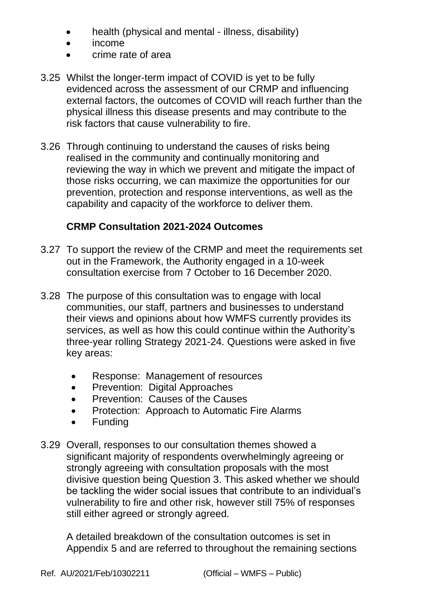- health (physical and mental illness, disability)
- income
- crime rate of area
- 3.25 Whilst the longer-term impact of COVID is yet to be fully evidenced across the assessment of our CRMP and influencing external factors, the outcomes of COVID will reach further than the physical illness this disease presents and may contribute to the risk factors that cause vulnerability to fire.
- 3.26 Through continuing to understand the causes of risks being realised in the community and continually monitoring and reviewing the way in which we prevent and mitigate the impact of those risks occurring, we can maximize the opportunities for our prevention, protection and response interventions, as well as the capability and capacity of the workforce to deliver them.

## **CRMP Consultation 2021-2024 Outcomes**

- 3.27 To support the review of the CRMP and meet the requirements set out in the Framework, the Authority engaged in a 10-week consultation exercise from 7 October to 16 December 2020.
- 3.28 The purpose of this consultation was to engage with local communities, our staff, partners and businesses to understand their views and opinions about how WMFS currently provides its services, as well as how this could continue within the Authority's three-year rolling Strategy 2021-24. Questions were asked in five key areas:
	- Response: Management of resources
	- Prevention: Digital Approaches
	- Prevention: Causes of the Causes
	- Protection: Approach to Automatic Fire Alarms
	- Funding
- 3.29 Overall, responses to our consultation themes showed a significant majority of respondents overwhelmingly agreeing or strongly agreeing with consultation proposals with the most divisive question being Question 3. This asked whether we should be tackling the wider social issues that contribute to an individual's vulnerability to fire and other risk, however still 75% of responses still either agreed or strongly agreed.

A detailed breakdown of the consultation outcomes is set in Appendix 5 and are referred to throughout the remaining sections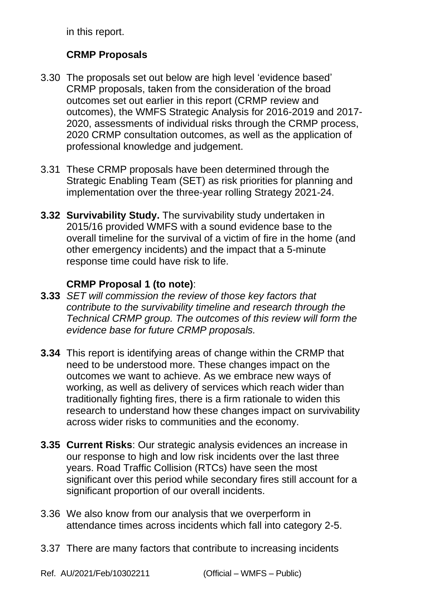in this report.

# **CRMP Proposals**

- 3.30 The proposals set out below are high level 'evidence based' CRMP proposals, taken from the consideration of the broad outcomes set out earlier in this report (CRMP review and outcomes), the WMFS Strategic Analysis for 2016-2019 and 2017- 2020, assessments of individual risks through the CRMP process, 2020 CRMP consultation outcomes, as well as the application of professional knowledge and judgement.
- 3.31 These CRMP proposals have been determined through the Strategic Enabling Team (SET) as risk priorities for planning and implementation over the three-year rolling Strategy 2021-24.
- **3.32 Survivability Study.** The survivability study undertaken in 2015/16 provided WMFS with a sound evidence base to the overall timeline for the survival of a victim of fire in the home (and other emergency incidents) and the impact that a 5-minute response time could have risk to life.

### **CRMP Proposal 1 (to note)**:

- **3.33** *SET will commission the review of those key factors that contribute to the survivability timeline and research through the Technical CRMP group. The outcomes of this review will form the evidence base for future CRMP proposals.*
- **3.34** This report is identifying areas of change within the CRMP that need to be understood more. These changes impact on the outcomes we want to achieve. As we embrace new ways of working, as well as delivery of services which reach wider than traditionally fighting fires, there is a firm rationale to widen this research to understand how these changes impact on survivability across wider risks to communities and the economy.
- **3.35 Current Risks**: Our strategic analysis evidences an increase in our response to high and low risk incidents over the last three years. Road Traffic Collision (RTCs) have seen the most significant over this period while secondary fires still account for a significant proportion of our overall incidents.
- 3.36 We also know from our analysis that we overperform in attendance times across incidents which fall into category 2-5.
- 3.37 There are many factors that contribute to increasing incidents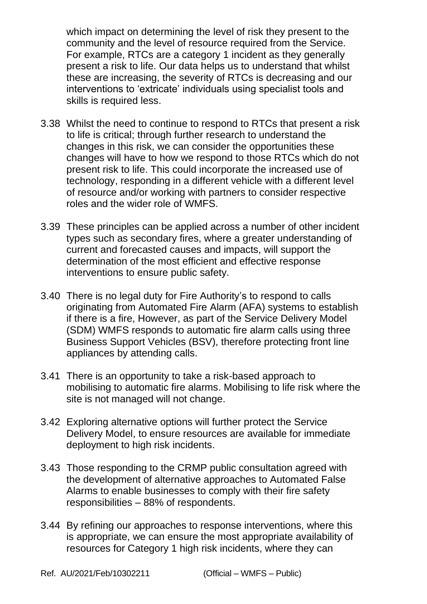which impact on determining the level of risk they present to the community and the level of resource required from the Service. For example, RTCs are a category 1 incident as they generally present a risk to life. Our data helps us to understand that whilst these are increasing, the severity of RTCs is decreasing and our interventions to 'extricate' individuals using specialist tools and skills is required less.

- 3.38 Whilst the need to continue to respond to RTCs that present a risk to life is critical; through further research to understand the changes in this risk, we can consider the opportunities these changes will have to how we respond to those RTCs which do not present risk to life. This could incorporate the increased use of technology, responding in a different vehicle with a different level of resource and/or working with partners to consider respective roles and the wider role of WMFS.
- 3.39 These principles can be applied across a number of other incident types such as secondary fires, where a greater understanding of current and forecasted causes and impacts, will support the determination of the most efficient and effective response interventions to ensure public safety.
- 3.40 There is no legal duty for Fire Authority's to respond to calls originating from Automated Fire Alarm (AFA) systems to establish if there is a fire, However, as part of the Service Delivery Model (SDM) WMFS responds to automatic fire alarm calls using three Business Support Vehicles (BSV), therefore protecting front line appliances by attending calls.
- 3.41 There is an opportunity to take a risk-based approach to mobilising to automatic fire alarms. Mobilising to life risk where the site is not managed will not change.
- 3.42 Exploring alternative options will further protect the Service Delivery Model, to ensure resources are available for immediate deployment to high risk incidents.
- 3.43 Those responding to the CRMP public consultation agreed with the development of alternative approaches to Automated False Alarms to enable businesses to comply with their fire safety responsibilities – 88% of respondents.
- 3.44 By refining our approaches to response interventions, where this is appropriate, we can ensure the most appropriate availability of resources for Category 1 high risk incidents, where they can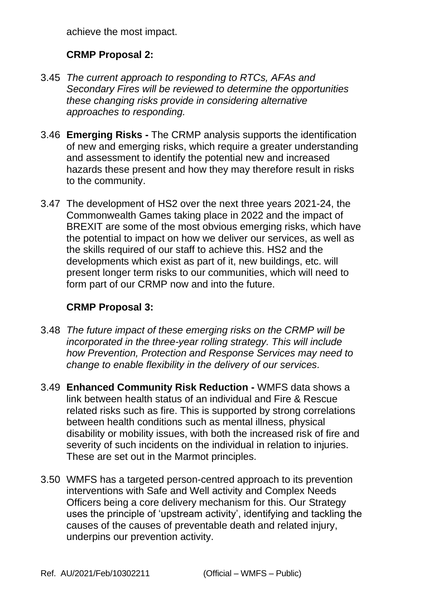achieve the most impact.

# **CRMP Proposal 2:**

- 3.45 *The current approach to responding to RTCs, AFAs and Secondary Fires will be reviewed to determine the opportunities these changing risks provide in considering alternative approaches to responding.*
- 3.46 **Emerging Risks -** The CRMP analysis supports the identification of new and emerging risks, which require a greater understanding and assessment to identify the potential new and increased hazards these present and how they may therefore result in risks to the community.
- 3.47 The development of HS2 over the next three years 2021-24, the Commonwealth Games taking place in 2022 and the impact of BREXIT are some of the most obvious emerging risks, which have the potential to impact on how we deliver our services, as well as the skills required of our staff to achieve this. HS2 and the developments which exist as part of it, new buildings, etc. will present longer term risks to our communities, which will need to form part of our CRMP now and into the future.

### **CRMP Proposal 3:**

- 3.48 *The future impact of these emerging risks on the CRMP will be incorporated in the three-year rolling strategy. This will include how Prevention, Protection and Response Services may need to change to enable flexibility in the delivery of our services.*
- 3.49 **Enhanced Community Risk Reduction -** WMFS data shows a link between health status of an individual and Fire & Rescue related risks such as fire. This is supported by strong correlations between health conditions such as mental illness, physical disability or mobility issues, with both the increased risk of fire and severity of such incidents on the individual in relation to injuries. These are set out in the Marmot principles.
- 3.50 WMFS has a targeted person-centred approach to its prevention interventions with Safe and Well activity and Complex Needs Officers being a core delivery mechanism for this. Our Strategy uses the principle of 'upstream activity', identifying and tackling the causes of the causes of preventable death and related injury, underpins our prevention activity.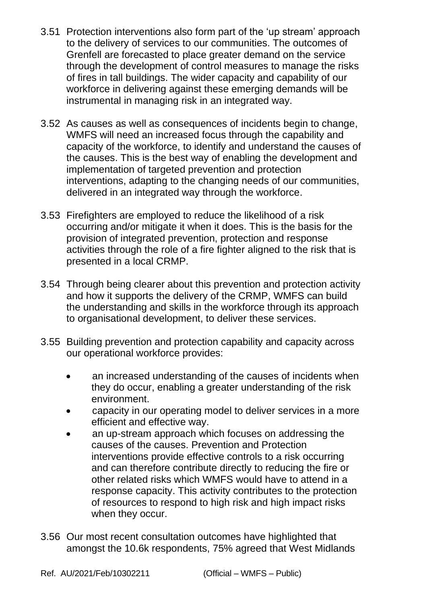- 3.51 Protection interventions also form part of the 'up stream' approach to the delivery of services to our communities. The outcomes of Grenfell are forecasted to place greater demand on the service through the development of control measures to manage the risks of fires in tall buildings. The wider capacity and capability of our workforce in delivering against these emerging demands will be instrumental in managing risk in an integrated way.
- 3.52 As causes as well as consequences of incidents begin to change, WMFS will need an increased focus through the capability and capacity of the workforce, to identify and understand the causes of the causes. This is the best way of enabling the development and implementation of targeted prevention and protection interventions, adapting to the changing needs of our communities, delivered in an integrated way through the workforce.
- 3.53 Firefighters are employed to reduce the likelihood of a risk occurring and/or mitigate it when it does. This is the basis for the provision of integrated prevention, protection and response activities through the role of a fire fighter aligned to the risk that is presented in a local CRMP.
- 3.54 Through being clearer about this prevention and protection activity and how it supports the delivery of the CRMP, WMFS can build the understanding and skills in the workforce through its approach to organisational development, to deliver these services.
- 3.55 Building prevention and protection capability and capacity across our operational workforce provides:
	- an increased understanding of the causes of incidents when they do occur, enabling a greater understanding of the risk environment.
	- capacity in our operating model to deliver services in a more efficient and effective way.
	- an up-stream approach which focuses on addressing the causes of the causes. Prevention and Protection interventions provide effective controls to a risk occurring and can therefore contribute directly to reducing the fire or other related risks which WMFS would have to attend in a response capacity. This activity contributes to the protection of resources to respond to high risk and high impact risks when they occur.
- 3.56 Our most recent consultation outcomes have highlighted that amongst the 10.6k respondents, 75% agreed that West Midlands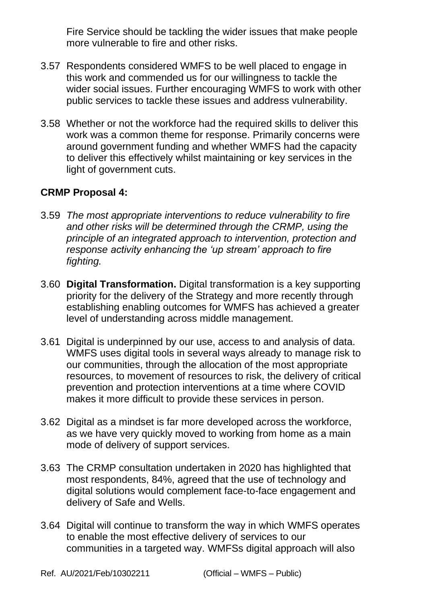Fire Service should be tackling the wider issues that make people more vulnerable to fire and other risks.

- 3.57 Respondents considered WMFS to be well placed to engage in this work and commended us for our willingness to tackle the wider social issues. Further encouraging WMFS to work with other public services to tackle these issues and address vulnerability.
- 3.58 Whether or not the workforce had the required skills to deliver this work was a common theme for response. Primarily concerns were around government funding and whether WMFS had the capacity to deliver this effectively whilst maintaining or key services in the light of government cuts.

#### **CRMP Proposal 4:**

- 3.59 *The most appropriate interventions to reduce vulnerability to fire and other risks will be determined through the CRMP, using the principle of an integrated approach to intervention, protection and response activity enhancing the 'up stream' approach to fire fighting.*
- 3.60 **Digital Transformation.** Digital transformation is a key supporting priority for the delivery of the Strategy and more recently through establishing enabling outcomes for WMFS has achieved a greater level of understanding across middle management.
- 3.61 Digital is underpinned by our use, access to and analysis of data. WMFS uses digital tools in several ways already to manage risk to our communities, through the allocation of the most appropriate resources, to movement of resources to risk, the delivery of critical prevention and protection interventions at a time where COVID makes it more difficult to provide these services in person.
- 3.62 Digital as a mindset is far more developed across the workforce, as we have very quickly moved to working from home as a main mode of delivery of support services.
- 3.63 The CRMP consultation undertaken in 2020 has highlighted that most respondents, 84%, agreed that the use of technology and digital solutions would complement face-to-face engagement and delivery of Safe and Wells.
- 3.64 Digital will continue to transform the way in which WMFS operates to enable the most effective delivery of services to our communities in a targeted way. WMFSs digital approach will also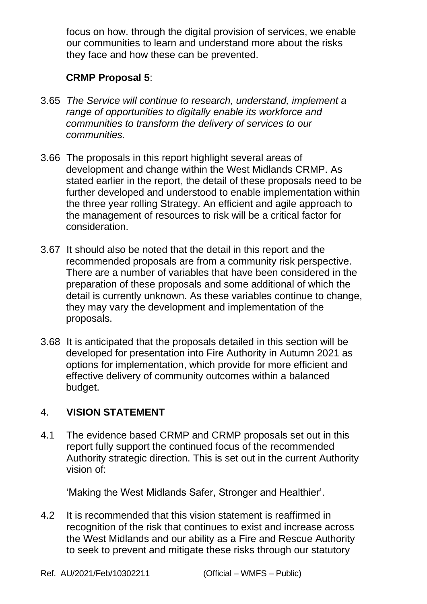focus on how. through the digital provision of services, we enable our communities to learn and understand more about the risks they face and how these can be prevented.

#### **CRMP Proposal 5**:

- 3.65 *The Service will continue to research, understand, implement a range of opportunities to digitally enable its workforce and communities to transform the delivery of services to our communities.*
- 3.66 The proposals in this report highlight several areas of development and change within the West Midlands CRMP. As stated earlier in the report, the detail of these proposals need to be further developed and understood to enable implementation within the three year rolling Strategy. An efficient and agile approach to the management of resources to risk will be a critical factor for consideration.
- 3.67 It should also be noted that the detail in this report and the recommended proposals are from a community risk perspective. There are a number of variables that have been considered in the preparation of these proposals and some additional of which the detail is currently unknown. As these variables continue to change, they may vary the development and implementation of the proposals.
- 3.68 It is anticipated that the proposals detailed in this section will be developed for presentation into Fire Authority in Autumn 2021 as options for implementation, which provide for more efficient and effective delivery of community outcomes within a balanced budget.

# 4. **VISION STATEMENT**

4.1 The evidence based CRMP and CRMP proposals set out in this report fully support the continued focus of the recommended Authority strategic direction. This is set out in the current Authority vision of:

'Making the West Midlands Safer, Stronger and Healthier'.

4.2 It is recommended that this vision statement is reaffirmed in recognition of the risk that continues to exist and increase across the West Midlands and our ability as a Fire and Rescue Authority to seek to prevent and mitigate these risks through our statutory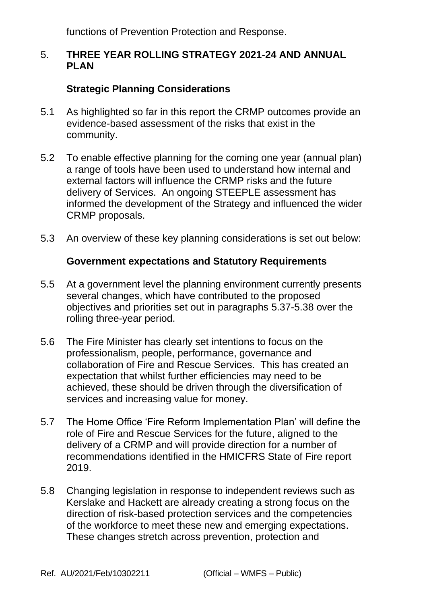functions of Prevention Protection and Response.

#### 5. **THREE YEAR ROLLING STRATEGY 2021-24 AND ANNUAL PLAN**

### **Strategic Planning Considerations**

- 5.1 As highlighted so far in this report the CRMP outcomes provide an evidence-based assessment of the risks that exist in the community.
- 5.2 To enable effective planning for the coming one year (annual plan) a range of tools have been used to understand how internal and external factors will influence the CRMP risks and the future delivery of Services. An ongoing STEEPLE assessment has informed the development of the Strategy and influenced the wider CRMP proposals.
- 5.3 An overview of these key planning considerations is set out below:

#### **Government expectations and Statutory Requirements**

- 5.5 At a government level the planning environment currently presents several changes, which have contributed to the proposed objectives and priorities set out in paragraphs 5.37-5.38 over the rolling three-year period.
- 5.6 The Fire Minister has clearly set intentions to focus on the professionalism, people, performance, governance and collaboration of Fire and Rescue Services. This has created an expectation that whilst further efficiencies may need to be achieved, these should be driven through the diversification of services and increasing value for money.
- 5.7 The Home Office 'Fire Reform Implementation Plan' will define the role of Fire and Rescue Services for the future, aligned to the delivery of a CRMP and will provide direction for a number of recommendations identified in the HMICFRS State of Fire report 2019.
- 5.8 Changing legislation in response to independent reviews such as Kerslake and Hackett are already creating a strong focus on the direction of risk-based protection services and the competencies of the workforce to meet these new and emerging expectations. These changes stretch across prevention, protection and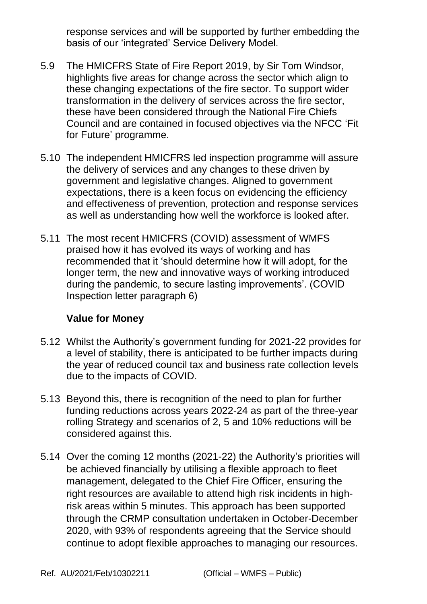response services and will be supported by further embedding the basis of our 'integrated' Service Delivery Model.

- 5.9 The HMICFRS State of Fire Report 2019, by Sir Tom Windsor, highlights five areas for change across the sector which align to these changing expectations of the fire sector. To support wider transformation in the delivery of services across the fire sector, these have been considered through the National Fire Chiefs Council and are contained in focused objectives via the NFCC 'Fit for Future' programme.
- 5.10 The independent HMICFRS led inspection programme will assure the delivery of services and any changes to these driven by government and legislative changes. Aligned to government expectations, there is a keen focus on evidencing the efficiency and effectiveness of prevention, protection and response services as well as understanding how well the workforce is looked after.
- 5.11 The most recent HMICFRS (COVID) assessment of WMFS praised how it has evolved its ways of working and has recommended that it 'should determine how it will adopt, for the longer term, the new and innovative ways of working introduced during the pandemic, to secure lasting improvements'. (COVID Inspection letter paragraph 6)

#### **Value for Money**

- 5.12 Whilst the Authority's government funding for 2021-22 provides for a level of stability, there is anticipated to be further impacts during the year of reduced council tax and business rate collection levels due to the impacts of COVID.
- 5.13 Beyond this, there is recognition of the need to plan for further funding reductions across years 2022-24 as part of the three-year rolling Strategy and scenarios of 2, 5 and 10% reductions will be considered against this.
- 5.14 Over the coming 12 months (2021-22) the Authority's priorities will be achieved financially by utilising a flexible approach to fleet management, delegated to the Chief Fire Officer, ensuring the right resources are available to attend high risk incidents in highrisk areas within 5 minutes. This approach has been supported through the CRMP consultation undertaken in October-December 2020, with 93% of respondents agreeing that the Service should continue to adopt flexible approaches to managing our resources.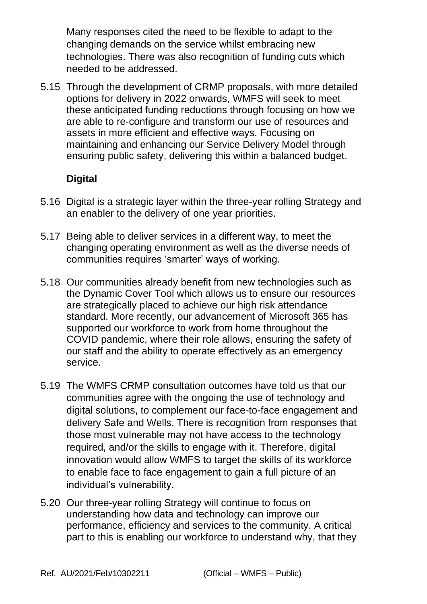Many responses cited the need to be flexible to adapt to the changing demands on the service whilst embracing new technologies. There was also recognition of funding cuts which needed to be addressed.

5.15 Through the development of CRMP proposals, with more detailed options for delivery in 2022 onwards, WMFS will seek to meet these anticipated funding reductions through focusing on how we are able to re-configure and transform our use of resources and assets in more efficient and effective ways. Focusing on maintaining and enhancing our Service Delivery Model through ensuring public safety, delivering this within a balanced budget.

## **Digital**

- 5.16 Digital is a strategic layer within the three-year rolling Strategy and an enabler to the delivery of one year priorities.
- 5.17 Being able to deliver services in a different way, to meet the changing operating environment as well as the diverse needs of communities requires 'smarter' ways of working.
- 5.18 Our communities already benefit from new technologies such as the Dynamic Cover Tool which allows us to ensure our resources are strategically placed to achieve our high risk attendance standard. More recently, our advancement of Microsoft 365 has supported our workforce to work from home throughout the COVID pandemic, where their role allows, ensuring the safety of our staff and the ability to operate effectively as an emergency service.
- 5.19 The WMFS CRMP consultation outcomes have told us that our communities agree with the ongoing the use of technology and digital solutions, to complement our face-to-face engagement and delivery Safe and Wells. There is recognition from responses that those most vulnerable may not have access to the technology required, and/or the skills to engage with it. Therefore, digital innovation would allow WMFS to target the skills of its workforce to enable face to face engagement to gain a full picture of an individual's vulnerability.
- 5.20 Our three-year rolling Strategy will continue to focus on understanding how data and technology can improve our performance, efficiency and services to the community. A critical part to this is enabling our workforce to understand why, that they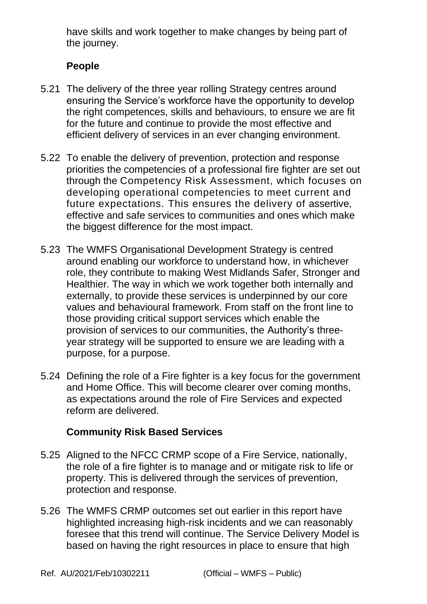have skills and work together to make changes by being part of the journey.

### **People**

- 5.21 The delivery of the three year rolling Strategy centres around ensuring the Service's workforce have the opportunity to develop the right competences, skills and behaviours, to ensure we are fit for the future and continue to provide the most effective and efficient delivery of services in an ever changing environment.
- 5.22 To enable the delivery of prevention, protection and response priorities the competencies of a professional fire fighter are set out through the Competency Risk Assessment, which focuses on developing operational competencies to meet current and future expectations. This ensures the delivery of assertive, effective and safe services to communities and ones which make the biggest difference for the most impact.
- 5.23 The WMFS Organisational Development Strategy is centred around enabling our workforce to understand how, in whichever role, they contribute to making West Midlands Safer, Stronger and Healthier. The way in which we work together both internally and externally, to provide these services is underpinned by our core values and behavioural framework. From staff on the front line to those providing critical support services which enable the provision of services to our communities, the Authority's threeyear strategy will be supported to ensure we are leading with a purpose, for a purpose.
- 5.24 Defining the role of a Fire fighter is a key focus for the government and Home Office. This will become clearer over coming months, as expectations around the role of Fire Services and expected reform are delivered.

### **Community Risk Based Services**

- 5.25 Aligned to the NFCC CRMP scope of a Fire Service, nationally, the role of a fire fighter is to manage and or mitigate risk to life or property. This is delivered through the services of prevention, protection and response.
- 5.26 The WMFS CRMP outcomes set out earlier in this report have highlighted increasing high-risk incidents and we can reasonably foresee that this trend will continue. The Service Delivery Model is based on having the right resources in place to ensure that high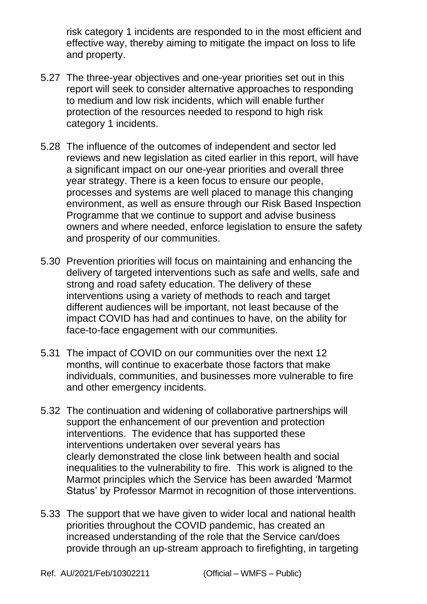risk category 1 incidents are responded to in the most efficient and effective way, thereby aiming to mitigate the impact on loss to life and property.

- 5.27 The three-year objectives and one-year priorities set out in this report will seek to consider alternative approaches to responding to medium and low risk incidents, which will enable further protection of the resources needed to respond to high risk category 1 incidents.
- 5.28 The influence of the outcomes of independent and sector led reviews and new legislation as cited earlier in this report, will have a significant impact on our one-year priorities and overall three year strategy. There is a keen focus to ensure our people, processes and systems are well placed to manage this changing environment, as well as ensure through our Risk Based Inspection Programme that we continue to support and advise business owners and where needed, enforce legislation to ensure the safety and prosperity of our communities.
- 5.30 Prevention priorities will focus on maintaining and enhancing the delivery of targeted interventions such as safe and wells, safe and strong and road safety education. The delivery of these interventions using a variety of methods to reach and target different audiences will be important, not least because of the impact COVID has had and continues to have, on the ability for face-to-face engagement with our communities.
- 5.31 The impact of COVID on our communities over the next 12 months, will continue to exacerbate those factors that make individuals, communities, and businesses more vulnerable to fire and other emergency incidents.
- 5.32 The continuation and widening of collaborative partnerships will support the enhancement of our prevention and protection interventions. The evidence that has supported these interventions undertaken over several years has clearly demonstrated the close link between health and social inequalities to the vulnerability to fire. This work is aligned to the Marmot principles which the Service has been awarded 'Marmot Status' by Professor Marmot in recognition of those interventions.
- 5.33 The support that we have given to wider local and national health priorities throughout the COVID pandemic, has created an increased understanding of the role that the Service can/does provide through an up-stream approach to firefighting, in targeting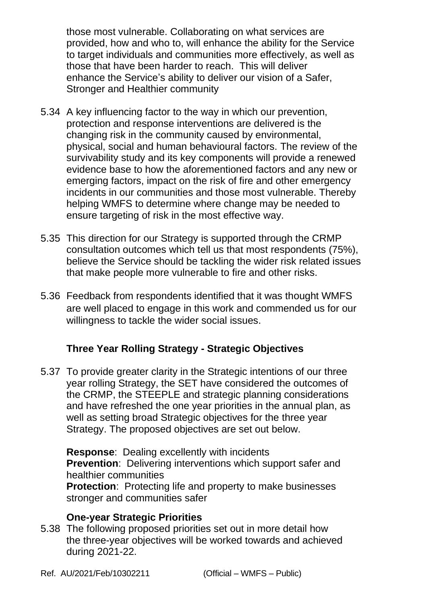those most vulnerable. Collaborating on what services are provided, how and who to, will enhance the ability for the Service to target individuals and communities more effectively, as well as those that have been harder to reach. This will deliver enhance the Service's ability to deliver our vision of a Safer, Stronger and Healthier community

- 5.34 A key influencing factor to the way in which our prevention, protection and response interventions are delivered is the changing risk in the community caused by environmental, physical, social and human behavioural factors. The review of the survivability study and its key components will provide a renewed evidence base to how the aforementioned factors and any new or emerging factors, impact on the risk of fire and other emergency incidents in our communities and those most vulnerable. Thereby helping WMFS to determine where change may be needed to ensure targeting of risk in the most effective way.
- 5.35 This direction for our Strategy is supported through the CRMP consultation outcomes which tell us that most respondents (75%), believe the Service should be tackling the wider risk related issues that make people more vulnerable to fire and other risks.
- 5.36 Feedback from respondents identified that it was thought WMFS are well placed to engage in this work and commended us for our willingness to tackle the wider social issues.

# **Three Year Rolling Strategy - Strategic Objectives**

5.37 To provide greater clarity in the Strategic intentions of our three year rolling Strategy, the SET have considered the outcomes of the CRMP, the STEEPLE and strategic planning considerations and have refreshed the one year priorities in the annual plan, as well as setting broad Strategic objectives for the three year Strategy. The proposed objectives are set out below.

**Response**: Dealing excellently with incidents **Prevention**: Delivering interventions which support safer and healthier communities

**Protection:** Protecting life and property to make businesses stronger and communities safer

#### **One-year Strategic Priorities**

5.38 The following proposed priorities set out in more detail how the three-year objectives will be worked towards and achieved during 2021-22.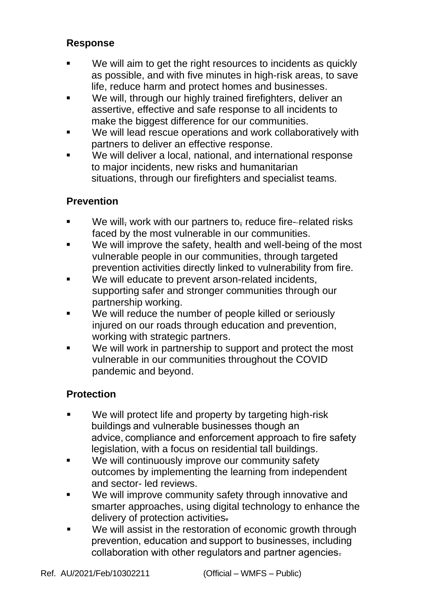#### **Response**

- We will aim to get the right resources to incidents as quickly as possible, and with five minutes in high-risk areas, to save life, reduce harm and protect homes and businesses.
- We will, through our highly trained firefighters, deliver an assertive, effective and safe response to all incidents to make the biggest difference for our communities.
- We will lead rescue operations and work collaboratively with partners to deliver an effective response.
- We will deliver a local, national, and international response to major incidents, new risks and humanitarian situations, through our firefighters and specialist teams.

## **Prevention**

- We will, work with our partners to, reduce fire--related risks faced by the most vulnerable in our communities.
- We will improve the safety, health and well-being of the most vulnerable people in our communities, through targeted prevention activities directly linked to vulnerability from fire.
- We will educate to prevent arson-related incidents, supporting safer and stronger communities through our partnership working.
- We will reduce the number of people killed or seriously injured on our roads through education and prevention, working with strategic partners.
- We will work in partnership to support and protect the most vulnerable in our communities throughout the COVID pandemic and beyond.

### **Protection**

- We will protect life and property by targeting high-risk buildings and vulnerable businesses though an advice, compliance and enforcement approach to fire safety legislation, with a focus on residential tall buildings.
- We will continuously improve our community safety outcomes by implementing the learning from independent and sector- led reviews.
- We will improve community safety through innovative and smarter approaches, using digital technology to enhance the delivery of protection activities.
- We will assist in the restoration of economic growth through prevention, education and support to businesses, including collaboration with other regulators and partner agencies.